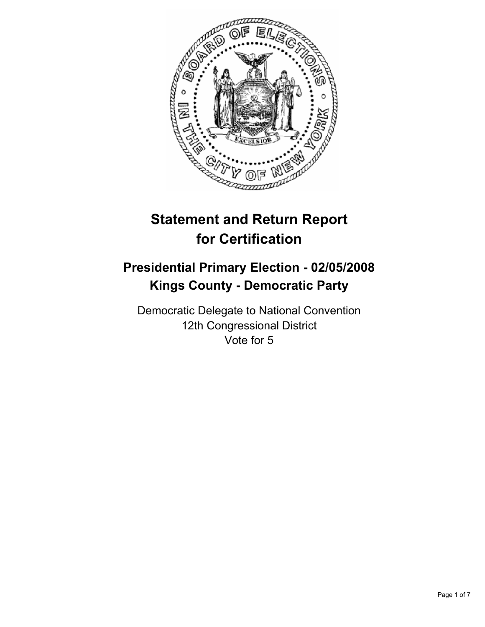

# **Statement and Return Report for Certification**

## **Presidential Primary Election - 02/05/2008 Kings County - Democratic Party**

Democratic Delegate to National Convention 12th Congressional District Vote for 5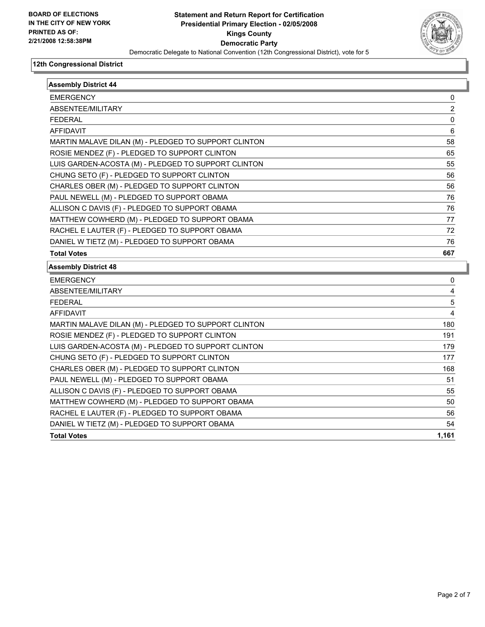

| <b>Assembly District 44</b>                          |       |
|------------------------------------------------------|-------|
| <b>EMERGENCY</b>                                     | 0     |
| ABSENTEE/MILITARY                                    | 2     |
| <b>FEDERAL</b>                                       | 0     |
| <b>AFFIDAVIT</b>                                     | 6     |
| MARTIN MALAVE DILAN (M) - PLEDGED TO SUPPORT CLINTON | 58    |
| ROSIE MENDEZ (F) - PLEDGED TO SUPPORT CLINTON        | 65    |
| LUIS GARDEN-ACOSTA (M) - PLEDGED TO SUPPORT CLINTON  | 55    |
| CHUNG SETO (F) - PLEDGED TO SUPPORT CLINTON          | 56    |
| CHARLES OBER (M) - PLEDGED TO SUPPORT CLINTON        | 56    |
| PAUL NEWELL (M) - PLEDGED TO SUPPORT OBAMA           | 76    |
| ALLISON C DAVIS (F) - PLEDGED TO SUPPORT OBAMA       | 76    |
| MATTHEW COWHERD (M) - PLEDGED TO SUPPORT OBAMA       | 77    |
| RACHEL E LAUTER (F) - PLEDGED TO SUPPORT OBAMA       | 72    |
| DANIEL W TIETZ (M) - PLEDGED TO SUPPORT OBAMA        | 76    |
| <b>Total Votes</b>                                   | 667   |
| <b>Assembly District 48</b>                          |       |
| <b>EMERGENCY</b>                                     | 0     |
| ABSENTEE/MILITARY                                    | 4     |
| <b>FEDERAL</b>                                       | 5     |
| <b>AFFIDAVIT</b>                                     | 4     |
| MARTIN MALAVE DILAN (M) - PLEDGED TO SUPPORT CLINTON | 180   |
| ROSIE MENDEZ (F) - PLEDGED TO SUPPORT CLINTON        | 191   |
| LUIS GARDEN-ACOSTA (M) - PLEDGED TO SUPPORT CLINTON  | 179   |
| CHUNG SETO (F) - PLEDGED TO SUPPORT CLINTON          | 177   |
| CHARLES OBER (M) - PLEDGED TO SUPPORT CLINTON        | 168   |
| PAUL NEWELL (M) - PLEDGED TO SUPPORT OBAMA           | 51    |
| ALLISON C DAVIS (F) - PLEDGED TO SUPPORT OBAMA       | 55    |
| MATTHEW COWHERD (M) - PLEDGED TO SUPPORT OBAMA       | 50    |
| RACHEL E LAUTER (F) - PLEDGED TO SUPPORT OBAMA       | 56    |
| DANIEL W TIETZ (M) - PLEDGED TO SUPPORT OBAMA        | 54    |
| <b>Total Votes</b>                                   | 1.161 |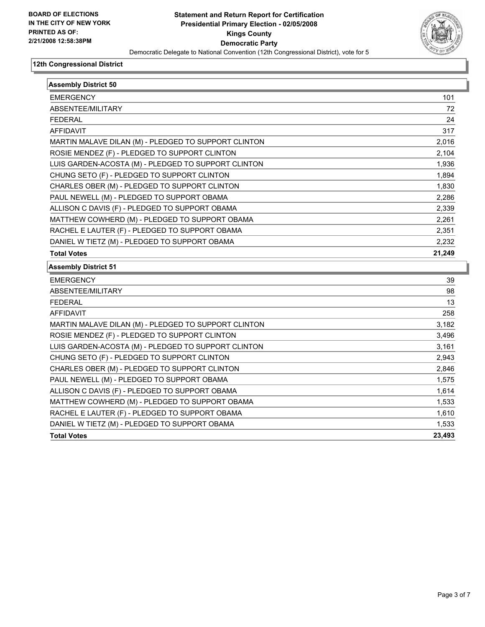

| <b>Assembly District 50</b>                          |        |
|------------------------------------------------------|--------|
| <b>EMERGENCY</b>                                     | 101    |
| ABSENTEE/MILITARY                                    | 72     |
| <b>FEDERAL</b>                                       | 24     |
| <b>AFFIDAVIT</b>                                     | 317    |
| MARTIN MALAVE DILAN (M) - PLEDGED TO SUPPORT CLINTON | 2,016  |
| ROSIE MENDEZ (F) - PLEDGED TO SUPPORT CLINTON        | 2,104  |
| LUIS GARDEN-ACOSTA (M) - PLEDGED TO SUPPORT CLINTON  | 1,936  |
| CHUNG SETO (F) - PLEDGED TO SUPPORT CLINTON          | 1,894  |
| CHARLES OBER (M) - PLEDGED TO SUPPORT CLINTON        | 1,830  |
| PAUL NEWELL (M) - PLEDGED TO SUPPORT OBAMA           | 2,286  |
| ALLISON C DAVIS (F) - PLEDGED TO SUPPORT OBAMA       | 2,339  |
| MATTHEW COWHERD (M) - PLEDGED TO SUPPORT OBAMA       | 2,261  |
| RACHEL E LAUTER (F) - PLEDGED TO SUPPORT OBAMA       | 2,351  |
| DANIEL W TIETZ (M) - PLEDGED TO SUPPORT OBAMA        | 2,232  |
| <b>Total Votes</b>                                   | 21,249 |
| <b>Assembly District 51</b>                          |        |
| <b>EMERGENCY</b>                                     | 39     |
| ABSENTEE/MILITARY                                    | 98     |
| <b>FEDERAL</b>                                       | 13     |
| <b>AFFIDAVIT</b>                                     | 258    |
| MARTIN MALAVE DILAN (M) - PLEDGED TO SUPPORT CLINTON | 3,182  |
| ROSIE MENDEZ (F) - PLEDGED TO SUPPORT CLINTON        | 3,496  |
| LUIS GARDEN-ACOSTA (M) - PLEDGED TO SUPPORT CLINTON  | 3,161  |
| CHUNG SETO (F) - PLEDGED TO SUPPORT CLINTON          | 2,943  |
| CHARLES OBER (M) - PLEDGED TO SUPPORT CLINTON        | 2,846  |
| PAUL NEWELL (M) - PLEDGED TO SUPPORT OBAMA           | 1,575  |
| ALLISON C DAVIS (F) - PLEDGED TO SUPPORT OBAMA       | 1,614  |
| MATTHEW COWHERD (M) - PLEDGED TO SUPPORT OBAMA       | 1,533  |
| RACHEL E LAUTER (F) - PLEDGED TO SUPPORT OBAMA       | 1,610  |
| DANIEL W TIETZ (M) - PLEDGED TO SUPPORT OBAMA        | 1,533  |
| <b>Total Votes</b>                                   | 23,493 |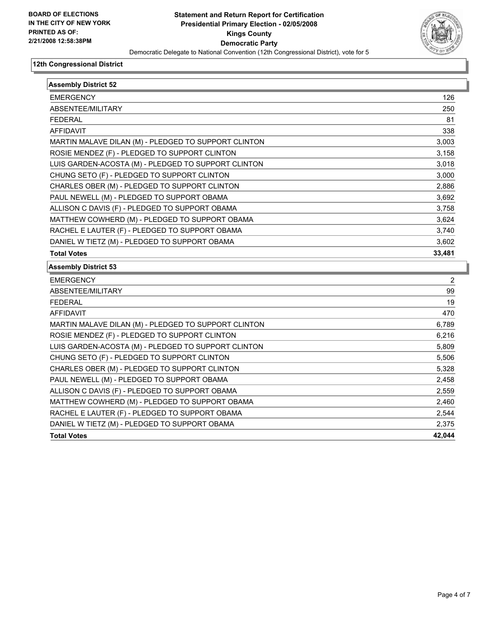

| <b>Assembly District 52</b>                          |        |  |
|------------------------------------------------------|--------|--|
| <b>EMERGENCY</b>                                     | 126    |  |
| ABSENTEE/MILITARY                                    | 250    |  |
| <b>FEDERAL</b>                                       | 81     |  |
| <b>AFFIDAVIT</b>                                     | 338    |  |
| MARTIN MALAVE DILAN (M) - PLEDGED TO SUPPORT CLINTON | 3,003  |  |
| ROSIE MENDEZ (F) - PLEDGED TO SUPPORT CLINTON        | 3,158  |  |
| LUIS GARDEN-ACOSTA (M) - PLEDGED TO SUPPORT CLINTON  | 3,018  |  |
| CHUNG SETO (F) - PLEDGED TO SUPPORT CLINTON          | 3,000  |  |
| CHARLES OBER (M) - PLEDGED TO SUPPORT CLINTON        | 2,886  |  |
| PAUL NEWELL (M) - PLEDGED TO SUPPORT OBAMA           | 3,692  |  |
| ALLISON C DAVIS (F) - PLEDGED TO SUPPORT OBAMA       | 3,758  |  |
| MATTHEW COWHERD (M) - PLEDGED TO SUPPORT OBAMA       | 3,624  |  |
| RACHEL E LAUTER (F) - PLEDGED TO SUPPORT OBAMA       | 3,740  |  |
| DANIEL W TIETZ (M) - PLEDGED TO SUPPORT OBAMA        | 3,602  |  |
| <b>Total Votes</b>                                   | 33,481 |  |
| <b>Assembly District 53</b>                          |        |  |
| <b>EMERGENCY</b>                                     | 2      |  |
| ABSENTEE/MILITARY                                    | 99     |  |
| <b>FEDERAL</b>                                       | 19     |  |
| <b>AFFIDAVIT</b>                                     | 470    |  |
| MARTIN MALAVE DILAN (M) - PLEDGED TO SUPPORT CLINTON | 6,789  |  |
| ROSIE MENDEZ (F) - PLEDGED TO SUPPORT CLINTON        | 6,216  |  |
| LUIS GARDEN-ACOSTA (M) - PLEDGED TO SUPPORT CLINTON  | 5,809  |  |
| CHUNG SETO (F) - PLEDGED TO SUPPORT CLINTON          | 5,506  |  |
| CHARLES OBER (M) - PLEDGED TO SUPPORT CLINTON        | 5,328  |  |
| PAUL NEWELL (M) - PLEDGED TO SUPPORT OBAMA           | 2,458  |  |
| ALLISON C DAVIS (F) - PLEDGED TO SUPPORT OBAMA       | 2,559  |  |
| MATTHEW COWHERD (M) - PLEDGED TO SUPPORT OBAMA       | 2,460  |  |
| RACHEL E LAUTER (F) - PLEDGED TO SUPPORT OBAMA       | 2,544  |  |
| DANIEL W TIETZ (M) - PLEDGED TO SUPPORT OBAMA        | 2,375  |  |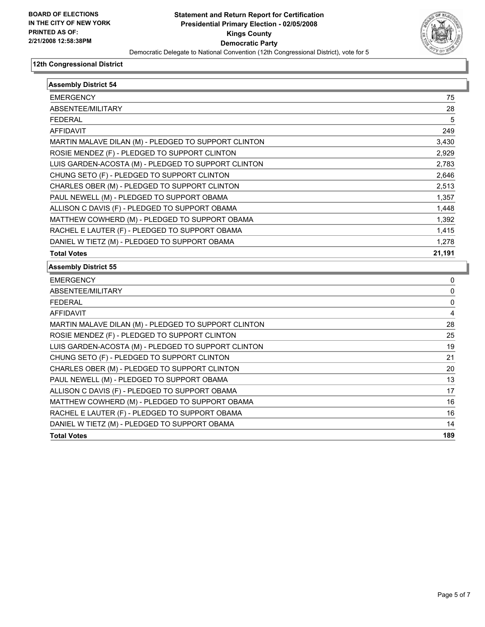

| <b>Assembly District 54</b>                          |          |
|------------------------------------------------------|----------|
| <b>EMERGENCY</b>                                     | 75       |
| ABSENTEE/MILITARY                                    | 28       |
| <b>FEDERAL</b>                                       | 5        |
| <b>AFFIDAVIT</b>                                     | 249      |
| MARTIN MALAVE DILAN (M) - PLEDGED TO SUPPORT CLINTON | 3,430    |
| ROSIE MENDEZ (F) - PLEDGED TO SUPPORT CLINTON        | 2,929    |
| LUIS GARDEN-ACOSTA (M) - PLEDGED TO SUPPORT CLINTON  | 2,783    |
| CHUNG SETO (F) - PLEDGED TO SUPPORT CLINTON          | 2,646    |
| CHARLES OBER (M) - PLEDGED TO SUPPORT CLINTON        | 2,513    |
| PAUL NEWELL (M) - PLEDGED TO SUPPORT OBAMA           | 1,357    |
| ALLISON C DAVIS (F) - PLEDGED TO SUPPORT OBAMA       | 1,448    |
| MATTHEW COWHERD (M) - PLEDGED TO SUPPORT OBAMA       | 1,392    |
| RACHEL E LAUTER (F) - PLEDGED TO SUPPORT OBAMA       | 1,415    |
| DANIEL W TIETZ (M) - PLEDGED TO SUPPORT OBAMA        | 1,278    |
| <b>Total Votes</b>                                   | 21,191   |
| <b>Assembly District 55</b>                          |          |
| <b>EMERGENCY</b>                                     | 0        |
| ABSENTEE/MILITARY                                    | 0        |
| <b>FEDERAL</b>                                       | $\Omega$ |
| <b>AFFIDAVIT</b>                                     | 4        |
| MARTIN MALAVE DILAN (M) - PLEDGED TO SUPPORT CLINTON | 28       |
| ROSIE MENDEZ (F) - PLEDGED TO SUPPORT CLINTON        | 25       |
| LUIS GARDEN-ACOSTA (M) - PLEDGED TO SUPPORT CLINTON  | 19       |
| CHUNG SETO (F) - PLEDGED TO SUPPORT CLINTON          | 21       |
| CHARLES OBER (M) - PLEDGED TO SUPPORT CLINTON        | 20       |
| PAUL NEWELL (M) - PLEDGED TO SUPPORT OBAMA           | 13       |
| ALLISON C DAVIS (F) - PLEDGED TO SUPPORT OBAMA       | 17       |
| MATTHEW COWHERD (M) - PLEDGED TO SUPPORT OBAMA       | 16       |
| RACHEL E LAUTER (F) - PLEDGED TO SUPPORT OBAMA       | 16       |
| DANIEL W TIETZ (M) - PLEDGED TO SUPPORT OBAMA        | 14       |
| <b>Total Votes</b>                                   | 189      |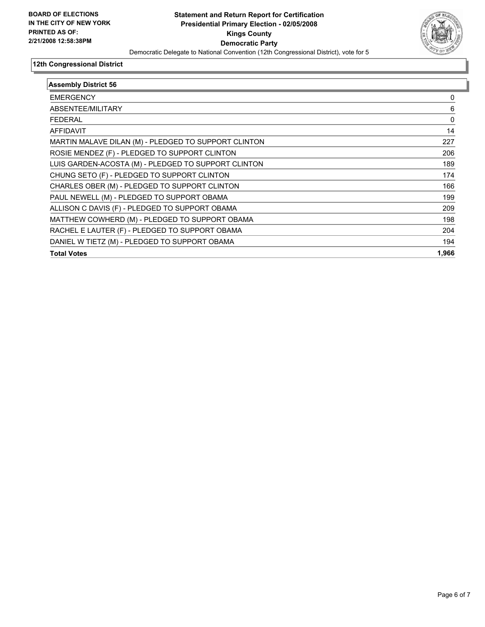

| <b>Assembly District 56</b>                          |       |
|------------------------------------------------------|-------|
| <b>EMERGENCY</b>                                     | 0     |
| ABSENTEE/MILITARY                                    | 6     |
| <b>FEDERAL</b>                                       | 0     |
| AFFIDAVIT                                            | 14    |
| MARTIN MALAVE DILAN (M) - PLEDGED TO SUPPORT CLINTON | 227   |
| ROSIE MENDEZ (F) - PLEDGED TO SUPPORT CLINTON        | 206   |
| LUIS GARDEN-ACOSTA (M) - PLEDGED TO SUPPORT CLINTON  | 189   |
| CHUNG SETO (F) - PLEDGED TO SUPPORT CLINTON          | 174   |
| CHARLES OBER (M) - PLEDGED TO SUPPORT CLINTON        | 166   |
| PAUL NEWELL (M) - PLEDGED TO SUPPORT OBAMA           | 199   |
| ALLISON C DAVIS (F) - PLEDGED TO SUPPORT OBAMA       | 209   |
| MATTHEW COWHERD (M) - PLEDGED TO SUPPORT OBAMA       | 198   |
| RACHEL E LAUTER (F) - PLEDGED TO SUPPORT OBAMA       | 204   |
| DANIEL W TIETZ (M) - PLEDGED TO SUPPORT OBAMA        | 194   |
| <b>Total Votes</b>                                   | 1,966 |